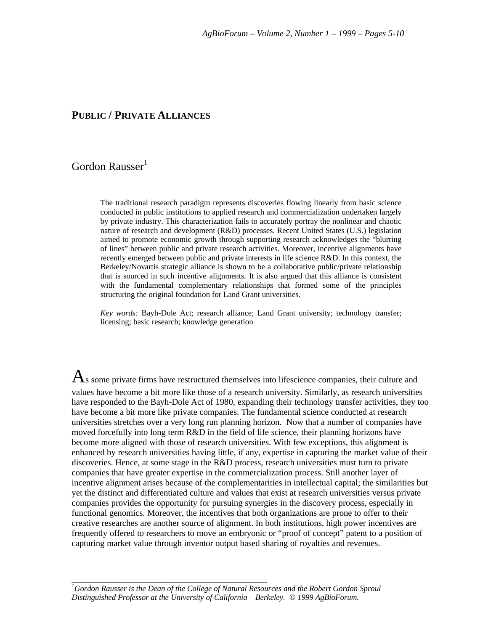## **PUBLIC / PRIVATE ALLIANCES**

# Gordon Rausser $<sup>1</sup>$ </sup>

The traditional research paradigm represents discoveries flowing linearly from basic science conducted in public institutions to applied research and commercialization undertaken largely by private industry. This characterization fails to accurately portray the nonlinear and chaotic nature of research and development (R&D) processes. Recent United States (U.S.) legislation aimed to promote economic growth through supporting research acknowledges the "blurring of lines" between public and private research activities. Moreover, incentive alignments have recently emerged between public and private interests in life science R&D. In this context, the Berkeley/Novartis strategic alliance is shown to be a collaborative public/private relationship that is sourced in such incentive alignments. It is also argued that this alliance is consistent with the fundamental complementary relationships that formed some of the principles structuring the original foundation for Land Grant universities.

*Key words:* Bayh-Dole Act; research alliance; Land Grant university; technology transfer; licensing; basic research; knowledge generation

 $\mathbf{A}_s$  some private firms have restructured themselves into lifescience companies, their culture and values have become a bit more like those of a research university. Similarly, as research universities have responded to the Bayh-Dole Act of 1980, expanding their technology transfer activities, they too have become a bit more like private companies. The fundamental science conducted at research universities stretches over a very long run planning horizon. Now that a number of companies have moved forcefully into long term R&D in the field of life science, their planning horizons have become more aligned with those of research universities. With few exceptions, this alignment is enhanced by research universities having little, if any, expertise in capturing the market value of their discoveries. Hence, at some stage in the R&D process, research universities must turn to private companies that have greater expertise in the commercialization process. Still another layer of incentive alignment arises because of the complementarities in intellectual capital; the similarities but yet the distinct and differentiated culture and values that exist at research universities versus private companies provides the opportunity for pursuing synergies in the discovery process, especially in functional genomics. Moreover, the incentives that both organizations are prone to offer to their creative researches are another source of alignment. In both institutions, high power incentives are frequently offered to researchers to move an embryonic or "proof of concept" patent to a position of capturing market value through inventor output based sharing of royalties and revenues.

\_\_\_\_\_\_\_\_\_\_\_\_\_\_\_\_\_\_\_\_\_\_\_\_\_\_\_\_\_\_\_\_\_\_\_\_\_\_\_\_\_\_\_\_\_\_\_\_\_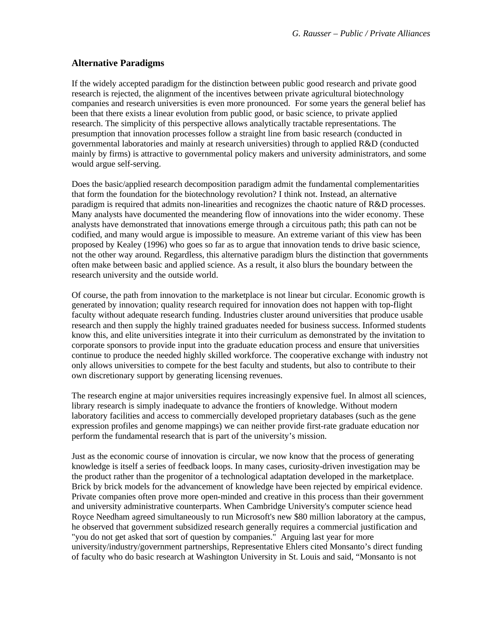#### **Alternative Paradigms**

If the widely accepted paradigm for the distinction between public good research and private good research is rejected, the alignment of the incentives between private agricultural biotechnology companies and research universities is even more pronounced. For some years the general belief has been that there exists a linear evolution from public good, or basic science, to private applied research. The simplicity of this perspective allows analytically tractable representations. The presumption that innovation processes follow a straight line from basic research (conducted in governmental laboratories and mainly at research universities) through to applied R&D (conducted mainly by firms) is attractive to governmental policy makers and university administrators, and some would argue self-serving.

Does the basic/applied research decomposition paradigm admit the fundamental complementarities that form the foundation for the biotechnology revolution? I think not. Instead, an alternative paradigm is required that admits non-linearities and recognizes the chaotic nature of R&D processes. Many analysts have documented the meandering flow of innovations into the wider economy. These analysts have demonstrated that innovations emerge through a circuitous path; this path can not be codified, and many would argue is impossible to measure. An extreme variant of this view has been proposed by Kealey (1996) who goes so far as to argue that innovation tends to drive basic science, not the other way around. Regardless, this alternative paradigm blurs the distinction that governments often make between basic and applied science. As a result, it also blurs the boundary between the research university and the outside world.

Of course, the path from innovation to the marketplace is not linear but circular. Economic growth is generated by innovation; quality research required for innovation does not happen with top-flight faculty without adequate research funding. Industries cluster around universities that produce usable research and then supply the highly trained graduates needed for business success. Informed students know this, and elite universities integrate it into their curriculum as demonstrated by the invitation to corporate sponsors to provide input into the graduate education process and ensure that universities continue to produce the needed highly skilled workforce. The cooperative exchange with industry not only allows universities to compete for the best faculty and students, but also to contribute to their own discretionary support by generating licensing revenues.

The research engine at major universities requires increasingly expensive fuel. In almost all sciences, library research is simply inadequate to advance the frontiers of knowledge. Without modern laboratory facilities and access to commercially developed proprietary databases (such as the gene expression profiles and genome mappings) we can neither provide first-rate graduate education nor perform the fundamental research that is part of the university's mission.

Just as the economic course of innovation is circular, we now know that the process of generating knowledge is itself a series of feedback loops. In many cases, curiosity-driven investigation may be the product rather than the progenitor of a technological adaptation developed in the marketplace. Brick by brick models for the advancement of knowledge have been rejected by empirical evidence. Private companies often prove more open-minded and creative in this process than their government and university administrative counterparts. When Cambridge University's computer science head Royce Needham agreed simultaneously to run Microsoft's new \$80 million laboratory at the campus, he observed that government subsidized research generally requires a commercial justification and "you do not get asked that sort of question by companies." Arguing last year for more university/industry/government partnerships, Representative Ehlers cited Monsanto's direct funding of faculty who do basic research at Washington University in St. Louis and said, "Monsanto is not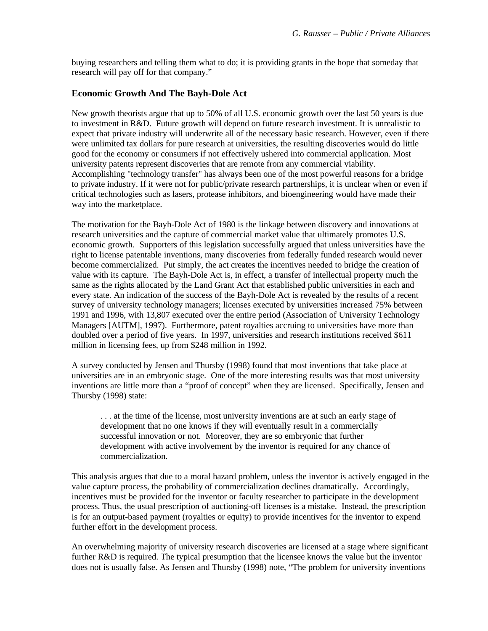buying researchers and telling them what to do; it is providing grants in the hope that someday that research will pay off for that company."

#### **Economic Growth And The Bayh-Dole Act**

New growth theorists argue that up to 50% of all U.S. economic growth over the last 50 years is due to investment in R&D. Future growth will depend on future research investment. It is unrealistic to expect that private industry will underwrite all of the necessary basic research. However, even if there were unlimited tax dollars for pure research at universities, the resulting discoveries would do little good for the economy or consumers if not effectively ushered into commercial application. Most university patents represent discoveries that are remote from any commercial viability. Accomplishing "technology transfer" has always been one of the most powerful reasons for a bridge to private industry. If it were not for public/private research partnerships, it is unclear when or even if critical technologies such as lasers, protease inhibitors, and bioengineering would have made their way into the marketplace.

The motivation for the Bayh-Dole Act of 1980 is the linkage between discovery and innovations at research universities and the capture of commercial market value that ultimately promotes U.S. economic growth. Supporters of this legislation successfully argued that unless universities have the right to license patentable inventions, many discoveries from federally funded research would never become commercialized. Put simply, the act creates the incentives needed to bridge the creation of value with its capture. The Bayh-Dole Act is, in effect, a transfer of intellectual property much the same as the rights allocated by the Land Grant Act that established public universities in each and every state. An indication of the success of the Bayh-Dole Act is revealed by the results of a recent survey of university technology managers; licenses executed by universities increased 75% between 1991 and 1996, with 13,807 executed over the entire period (Association of University Technology Managers [AUTM], 1997). Furthermore, patent royalties accruing to universities have more than doubled over a period of five years. In 1997, universities and research institutions received \$611 million in licensing fees, up from \$248 million in 1992.

A survey conducted by Jensen and Thursby (1998) found that most inventions that take place at universities are in an embryonic stage. One of the more interesting results was that most university inventions are little more than a "proof of concept" when they are licensed. Specifically, Jensen and Thursby (1998) state:

. . . at the time of the license, most university inventions are at such an early stage of development that no one knows if they will eventually result in a commercially successful innovation or not. Moreover, they are so embryonic that further development with active involvement by the inventor is required for any chance of commercialization.

This analysis argues that due to a moral hazard problem, unless the inventor is actively engaged in the value capture process, the probability of commercialization declines dramatically. Accordingly, incentives must be provided for the inventor or faculty researcher to participate in the development process. Thus, the usual prescription of auctioning-off licenses is a mistake. Instead, the prescription is for an output-based payment (royalties or equity) to provide incentives for the inventor to expend further effort in the development process.

An overwhelming majority of university research discoveries are licensed at a stage where significant further R&D is required. The typical presumption that the licensee knows the value but the inventor does not is usually false. As Jensen and Thursby (1998) note, "The problem for university inventions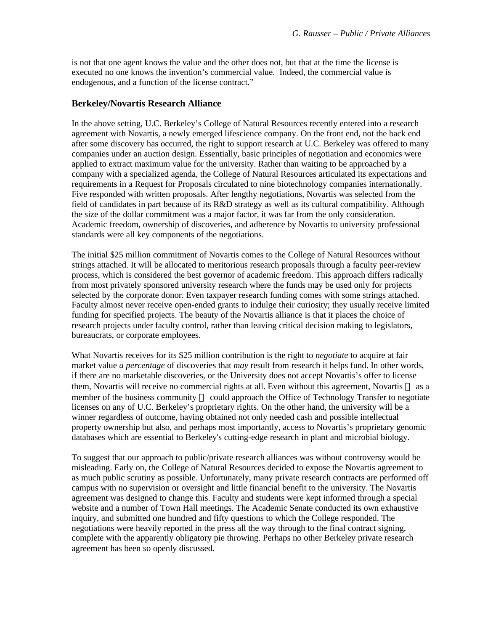is not that one agent knows the value and the other does not, but that at the time the license is executed no one knows the invention's commercial value. Indeed, the commercial value is endogenous, and a function of the license contract."

#### **Berkeley/Novartis Research Alliance**

In the above setting, U.C. Berkeley's College of Natural Resources recently entered into a research agreement with Novartis, a newly emerged lifescience company. On the front end, not the back end after some discovery has occurred, the right to support research at U.C. Berkeley was offered to many companies under an auction design. Essentially, basic principles of negotiation and economics were applied to extract maximum value for the university. Rather than waiting to be approached by a company with a specialized agenda, the College of Natural Resources articulated its expectations and requirements in a Request for Proposals circulated to nine biotechnology companies internationally. Five responded with written proposals. After lengthy negotiations, Novartis was selected from the field of candidates in part because of its R&D strategy as well as its cultural compatibility. Although the size of the dollar commitment was a major factor, it was far from the only consideration. Academic freedom, ownership of discoveries, and adherence by Novartis to university professional standards were all key components of the negotiations.

The initial \$25 million commitment of Novartis comes to the College of Natural Resources without strings attached. It will be allocated to meritorious research proposals through a faculty peer-review process, which is considered the best governor of academic freedom. This approach differs radically from most privately sponsored university research where the funds may be used only for projects selected by the corporate donor. Even taxpayer research funding comes with some strings attached. Faculty almost never receive open-ended grants to indulge their curiosity; they usually receive limited funding for specified projects. The beauty of the Novartis alliance is that it places the choice of research projects under faculty control, rather than leaving critical decision making to legislators, bureaucrats, or corporate employees.

What Novartis receives for its \$25 million contribution is the right to *negotiate* to acquire at fair market value *a percentage* of discoveries that *may* result from research it helps fund. In other words, if there are no marketable discoveries, or the University does not accept Novartis's offer to license them, Novartis will receive no commercial rights at all. Even without this agreement, Novartis — as a member of the business community — could approach the Office of Technology Transfer to negotiate licenses on any of U.C. Berkeley's proprietary rights. On the other hand, the university will be a winner regardless of outcome, having obtained not only needed cash and possible intellectual property ownership but also, and perhaps most importantly, access to Novartis's proprietary genomic databases which are essential to Berkeley's cutting-edge research in plant and microbial biology.

To suggest that our approach to public/private research alliances was without controversy would be misleading. Early on, the College of Natural Resources decided to expose the Novartis agreement to as much public scrutiny as possible. Unfortunately, many private research contracts are performed off campus with no supervision or oversight and little financial benefit to the university. The Novartis agreement was designed to change this. Faculty and students were kept informed through a special website and a number of Town Hall meetings. The Academic Senate conducted its own exhaustive inquiry, and submitted one hundred and fifty questions to which the College responded. The negotiations were heavily reported in the press all the way through to the final contract signing, complete with the apparently obligatory pie throwing. Perhaps no other Berkeley private research agreement has been so openly discussed.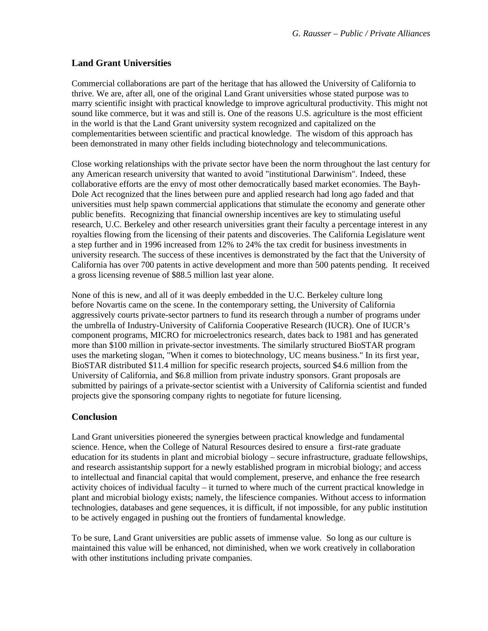### **Land Grant Universities**

Commercial collaborations are part of the heritage that has allowed the University of California to thrive. We are, after all, one of the original Land Grant universities whose stated purpose was to marry scientific insight with practical knowledge to improve agricultural productivity. This might not sound like commerce, but it was and still is. One of the reasons U.S. agriculture is the most efficient in the world is that the Land Grant university system recognized and capitalized on the complementarities between scientific and practical knowledge. The wisdom of this approach has been demonstrated in many other fields including biotechnology and telecommunications.

Close working relationships with the private sector have been the norm throughout the last century for any American research university that wanted to avoid "institutional Darwinism". Indeed, these collaborative efforts are the envy of most other democratically based market economies. The Bayh-Dole Act recognized that the lines between pure and applied research had long ago faded and that universities must help spawn commercial applications that stimulate the economy and generate other public benefits. Recognizing that financial ownership incentives are key to stimulating useful research, U.C. Berkeley and other research universities grant their faculty a percentage interest in any royalties flowing from the licensing of their patents and discoveries. The California Legislature went a step further and in 1996 increased from 12% to 24% the tax credit for business investments in university research. The success of these incentives is demonstrated by the fact that the University of California has over 700 patents in active development and more than 500 patents pending. It received a gross licensing revenue of \$88.5 million last year alone.

None of this is new, and all of it was deeply embedded in the U.C. Berkeley culture long before Novartis came on the scene. In the contemporary setting, the University of California aggressively courts private-sector partners to fund its research through a number of programs under the umbrella of Industry-University of California Cooperative Research (IUCR). One of IUCR's component programs, MICRO for microelectronics research, dates back to 1981 and has generated more than \$100 million in private-sector investments. The similarly structured BioSTAR program uses the marketing slogan, "When it comes to biotechnology, UC means business." In its first year, BioSTAR distributed \$11.4 million for specific research projects, sourced \$4.6 million from the University of California, and \$6.8 million from private industry sponsors. Grant proposals are submitted by pairings of a private-sector scientist with a University of California scientist and funded projects give the sponsoring company rights to negotiate for future licensing.

### **Conclusion**

Land Grant universities pioneered the synergies between practical knowledge and fundamental science. Hence, when the College of Natural Resources desired to ensure a first-rate graduate education for its students in plant and microbial biology – secure infrastructure, graduate fellowships, and research assistantship support for a newly established program in microbial biology; and access to intellectual and financial capital that would complement, preserve, and enhance the free research activity choices of individual faculty – it turned to where much of the current practical knowledge in plant and microbial biology exists; namely, the lifescience companies. Without access to information technologies, databases and gene sequences, it is difficult, if not impossible, for any public institution to be actively engaged in pushing out the frontiers of fundamental knowledge.

To be sure, Land Grant universities are public assets of immense value. So long as our culture is maintained this value will be enhanced, not diminished, when we work creatively in collaboration with other institutions including private companies.